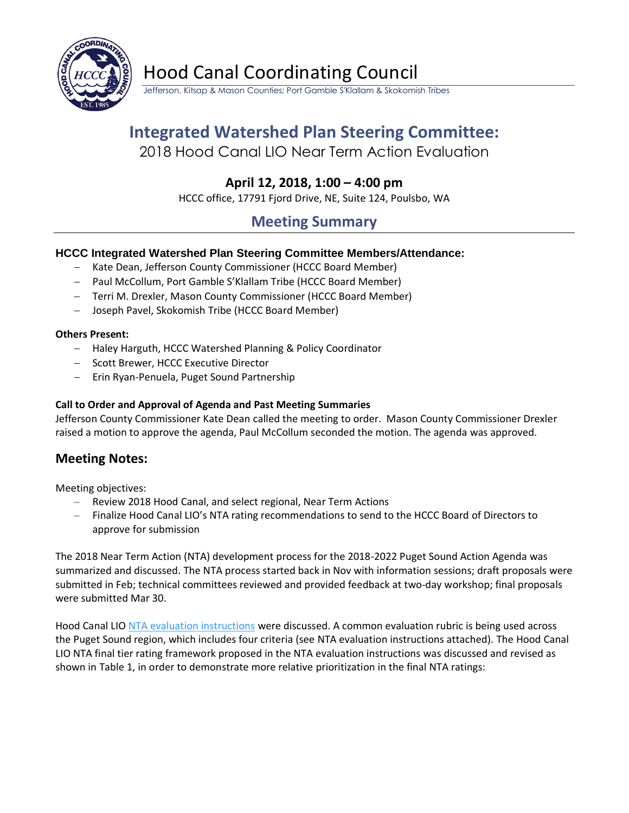

Hood Canal Coordinating Council

Jefferson, Kitsap & Mason Counties; Port Gamble S'Klallam & Skokomish Tribes

# **Integrated Watershed Plan Steering Committee:**

2018 Hood Canal LIO Near Term Action Evaluation

## **April 12, 2018, 1:00 – 4:00 pm**

HCCC office, 17791 Fjord Drive, NE, Suite 124, Poulsbo, WA

## **Meeting Summary**

## **HCCC Integrated Watershed Plan Steering Committee Members/Attendance:**

- − Kate Dean, Jefferson County Commissioner (HCCC Board Member)
- − Paul McCollum, Port Gamble S'Klallam Tribe (HCCC Board Member)
- − Terri M. Drexler, Mason County Commissioner (HCCC Board Member)
- − Joseph Pavel, Skokomish Tribe (HCCC Board Member)

#### **Others Present:**

- − Haley Harguth, HCCC Watershed Planning & Policy Coordinator
- − Scott Brewer, HCCC Executive Director
- − Erin Ryan-Penuela, Puget Sound Partnership

#### **Call to Order and Approval of Agenda and Past Meeting Summaries**

Jefferson County Commissioner Kate Dean called the meeting to order. Mason County Commissioner Drexler raised a motion to approve the agenda, Paul McCollum seconded the motion. The agenda was approved.

## **Meeting Notes:**

Meeting objectives:

- Review 2018 Hood Canal, and select regional, Near Term Actions
- Finalize Hood Canal LIO's NTA rating recommendations to send to the HCCC Board of Directors to approve for submission

The 2018 Near Term Action (NTA) development process for the 2018-2022 Puget Sound Action Agenda was summarized and discussed. The NTA process started back in Nov with information sessions; draft proposals were submitted in Feb; technical committees reviewed and provided feedback at two-day workshop; final proposals were submitted Mar 30.

Hood Canal LIO [NTA evaluation instructions](https://hcccwagov.box.com/s/57138b3hcogxy710jmnco9nbar08zgfe) were discussed. A common evaluation rubric is being used across the Puget Sound region, which includes four criteria (see NTA evaluation instructions attached). The Hood Canal LIO NTA final tier rating framework proposed in the NTA evaluation instructions was discussed and revised as shown in Table 1, in order to demonstrate more relative prioritization in the final NTA ratings: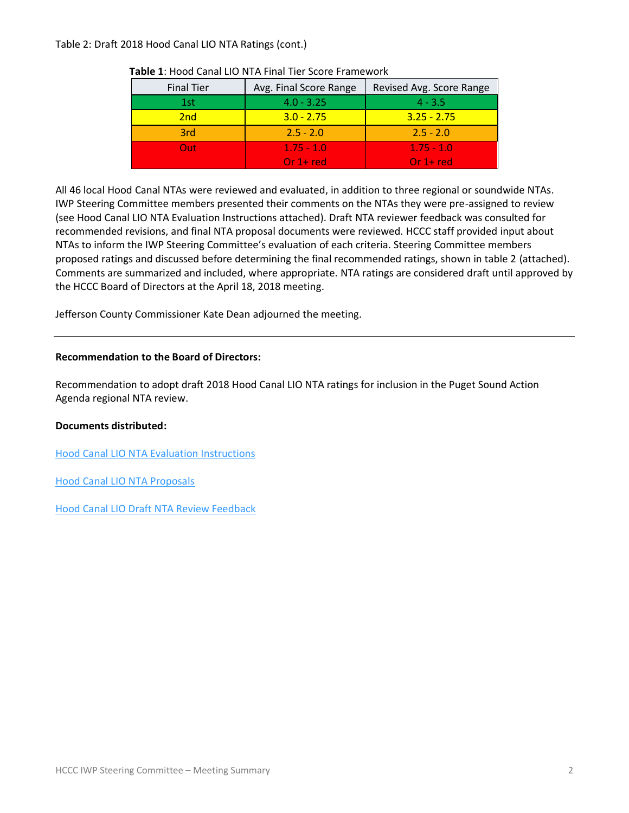#### Table 2: Draft 2018 Hood Canal LIO NTA Ratings (cont.)

| <b>Final Tier</b> | Avg. Final Score Range | Revised Avg. Score Range |
|-------------------|------------------------|--------------------------|
| 1st               | $4.0 - 3.25$           | $4 - 3.5$                |
| 2nd               | $3.0 - 2.75$           | $3.25 - 2.75$            |
| 3rd               | $2.5 - 2.0$            | $2.5 - 2.0$              |
| Out:              | $1.75 - 1.0$           | $1.75 - 1.0$             |
|                   | Or $1+red$             | $Or 1 + red$             |

#### **Table 1**: Hood Canal LIO NTA Final Tier Score Framework

All 46 local Hood Canal NTAs were reviewed and evaluated, in addition to three regional or soundwide NTAs. IWP Steering Committee members presented their comments on the NTAs they were pre-assigned to review (see Hood Canal LIO NTA Evaluation Instructions attached). Draft NTA reviewer feedback was consulted for recommended revisions, and final NTA proposal documents were reviewed. HCCC staff provided input about NTAs to inform the IWP Steering Committee's evaluation of each criteria. Steering Committee members proposed ratings and discussed before determining the final recommended ratings, shown in table 2 (attached). Comments are summarized and included, where appropriate. NTA ratings are considered draft until approved by the HCCC Board of Directors at the April 18, 2018 meeting.

Jefferson County Commissioner Kate Dean adjourned the meeting.

#### **Recommendation to the Board of Directors:**

Recommendation to adopt draft 2018 Hood Canal LIO NTA ratings for inclusion in the Puget Sound Action Agenda regional NTA review.

#### **Documents distributed:**

[Hood Canal LIO NTA Evaluation Instructions](https://hcccwagov.box.com/s/57138b3hcogxy710jmnco9nbar08zgfe)

[Hood Canal LIO NTA Proposals](https://hcccwagov.box.com/s/62d4qy6bcza43df2hmn5qa7jzm27mvir)

[Hood Canal LIO Draft NTA Review Feedback](https://hcccwagov.box.com/s/vo5xh8vky7jw0ezv0a4sjhwyd7ec6eha)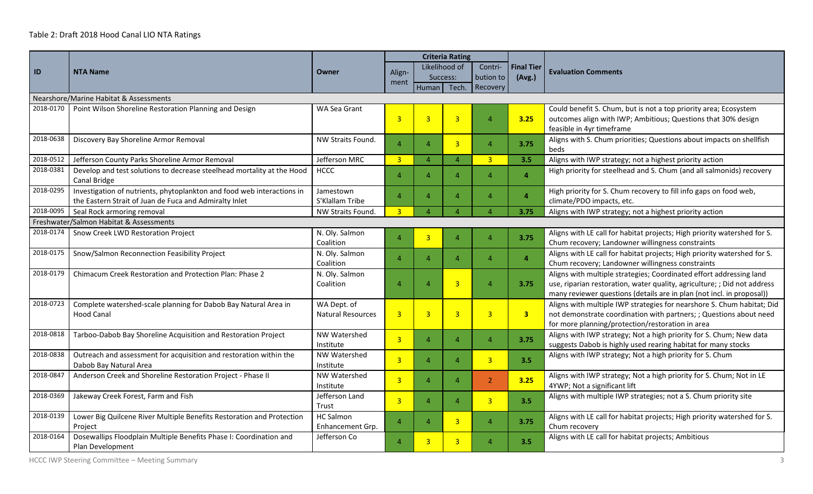### Table 2: Draft 2018 Hood Canal LIO NTA Ratings

|           | <b>NTA Name</b>                                                                                                                  | Owner                                   |                |                           | <b>Criteria Rating</b> |                |                   |                                                                                                                                                                                                                          |  |  |
|-----------|----------------------------------------------------------------------------------------------------------------------------------|-----------------------------------------|----------------|---------------------------|------------------------|----------------|-------------------|--------------------------------------------------------------------------------------------------------------------------------------------------------------------------------------------------------------------------|--|--|
| ID        |                                                                                                                                  |                                         | Align-         | Likelihood of<br>Success: |                        | Contri-        | <b>Final Tier</b> | <b>Evaluation Comments</b>                                                                                                                                                                                               |  |  |
|           |                                                                                                                                  |                                         | ment           |                           |                        | bution to      | (Avg.)            |                                                                                                                                                                                                                          |  |  |
|           |                                                                                                                                  |                                         |                | Human                     | Tech.                  | Recovery       |                   |                                                                                                                                                                                                                          |  |  |
|           | Nearshore/Marine Habitat & Assessments                                                                                           |                                         |                |                           |                        |                |                   |                                                                                                                                                                                                                          |  |  |
|           | 2018-0170   Point Wilson Shoreline Restoration Planning and Design                                                               | WA Sea Grant                            | $\overline{3}$ | $\overline{\mathbf{3}}$   | $\overline{3}$         | $\Delta$       | 3.25              | Could benefit S. Chum, but is not a top priority area; Ecosystem<br>outcomes align with IWP; Ambitious; Questions that 30% design<br>feasible in 4yr timeframe                                                           |  |  |
| 2018-0638 | Discovery Bay Shoreline Armor Removal                                                                                            | NW Straits Found.                       | $\overline{A}$ | Δ                         | $\overline{3}$         | $\Delta$       | 3.75              | Aligns with S. Chum priorities; Questions about impacts on shellfish<br>beds                                                                                                                                             |  |  |
| 2018-0512 | Jefferson County Parks Shoreline Armor Removal                                                                                   | Jefferson MRC                           | $\overline{3}$ | $\overline{A}$            | $\overline{4}$         | $\overline{3}$ | 3.5               | Aligns with IWP strategy; not a highest priority action                                                                                                                                                                  |  |  |
| 2018-0381 | Develop and test solutions to decrease steelhead mortality at the Hood<br>Canal Bridge                                           | <b>HCCC</b>                             | $\overline{4}$ | $\overline{A}$            | $\boldsymbol{\Lambda}$ | $\Delta$       | $\overline{4}$    | High priority for steelhead and S. Chum (and all salmonids) recovery                                                                                                                                                     |  |  |
| 2018-0295 | Investigation of nutrients, phytoplankton and food web interactions in<br>the Eastern Strait of Juan de Fuca and Admiralty Inlet | Jamestown<br>S'Klallam Tribe            | $\overline{4}$ | $\overline{A}$            | $\Delta$               | 4              | $\overline{4}$    | High priority for S. Chum recovery to fill info gaps on food web,<br>climate/PDO impacts, etc.                                                                                                                           |  |  |
| 2018-0095 | Seal Rock armoring removal                                                                                                       | NW Straits Found.                       | $\overline{3}$ | Δ                         | $\Delta$               | $\Delta$       | 3.75              | Aligns with IWP strategy; not a highest priority action                                                                                                                                                                  |  |  |
|           | Freshwater/Salmon Habitat & Assessments                                                                                          |                                         |                |                           |                        |                |                   |                                                                                                                                                                                                                          |  |  |
| 2018-0174 | Snow Creek LWD Restoration Project                                                                                               | N. Oly. Salmon<br>Coalition             | $\overline{4}$ | $\overline{\mathbf{3}}$   | $\boldsymbol{\Lambda}$ | $\Delta$       | 3.75              | Aligns with LE call for habitat projects; High priority watershed for S.<br>Chum recovery; Landowner willingness constraints                                                                                             |  |  |
| 2018-0175 | Snow/Salmon Reconnection Feasibility Project                                                                                     | N. Oly. Salmon<br>Coalition             | $\overline{4}$ | $\overline{A}$            | $\boldsymbol{\Lambda}$ | $\Delta$       | $\overline{4}$    | Aligns with LE call for habitat projects; High priority watershed for S.<br>Chum recovery; Landowner willingness constraints                                                                                             |  |  |
| 2018-0179 | Chimacum Creek Restoration and Protection Plan: Phase 2                                                                          | N. Oly. Salmon<br>Coalition             | $\overline{4}$ | Δ                         | 3                      | $\overline{A}$ | 3.75              | Aligns with multiple strategies; Coordinated effort addressing land<br>use, riparian restoration, water quality, agriculture; ; Did not address<br>many reviewer questions (details are in plan (not incl. in proposal)) |  |  |
| 2018-0723 | Complete watershed-scale planning for Dabob Bay Natural Area in<br><b>Hood Canal</b>                                             | WA Dept. of<br><b>Natural Resources</b> | $\overline{3}$ | $\overline{\mathbf{3}}$   | $\overline{3}$         | $\overline{3}$ | 3 <sup>7</sup>    | Aligns with multiple IWP strategies for nearshore S. Chum habitat; Did<br>not demonstrate coordination with partners; ; Questions about need<br>for more planning/protection/restoration in area                         |  |  |
| 2018-0818 | Tarboo-Dabob Bay Shoreline Acquisition and Restoration Project                                                                   | <b>NW Watershed</b><br>Institute        | $\overline{3}$ | $\overline{A}$            | $\Delta$               | $\Delta$       | 3.75              | Aligns with IWP strategy; Not a high priority for S. Chum; New data<br>suggests Dabob is highly used rearing habitat for many stocks                                                                                     |  |  |
| 2018-0838 | Outreach and assessment for acquisition and restoration within the<br>Dabob Bay Natural Area                                     | <b>NW Watershed</b><br>Institute        | $\overline{3}$ | Δ                         | $\Delta$               | $\overline{3}$ | 3.5               | Aligns with IWP strategy; Not a high priority for S. Chum                                                                                                                                                                |  |  |
| 2018-0847 | Anderson Creek and Shoreline Restoration Project - Phase II                                                                      | NW Watershed<br>Institute               | $\overline{3}$ | $\Delta$                  | $\boldsymbol{\Lambda}$ | $\overline{2}$ | 3.25              | Aligns with IWP strategy; Not a high priority for S. Chum; Not in LE<br>4YWP; Not a significant lift                                                                                                                     |  |  |
| 2018-0369 | Jakeway Creek Forest, Farm and Fish                                                                                              | Jefferson Land<br>Trust                 | $\overline{3}$ | $\overline{A}$            | $\boldsymbol{\Lambda}$ | $\overline{3}$ | 3.5               | Aligns with multiple IWP strategies; not a S. Chum priority site                                                                                                                                                         |  |  |
| 2018-0139 | Lower Big Quilcene River Multiple Benefits Restoration and Protection<br>Project                                                 | <b>HC Salmon</b><br>Enhancement Grp.    | $\overline{4}$ | $\overline{4}$            | 3                      | $\Delta$       | 3.75              | Aligns with LE call for habitat projects; High priority watershed for S.<br>Chum recovery                                                                                                                                |  |  |
| 2018-0164 | Dosewallips Floodplain Multiple Benefits Phase I: Coordination and<br>Plan Development                                           | Jefferson Co                            | $\overline{A}$ | 3                         | $\overline{3}$         | 4              | 3.5               | Aligns with LE call for habitat projects; Ambitious                                                                                                                                                                      |  |  |

HCCC IWP Steering Committee – Meeting Summary 3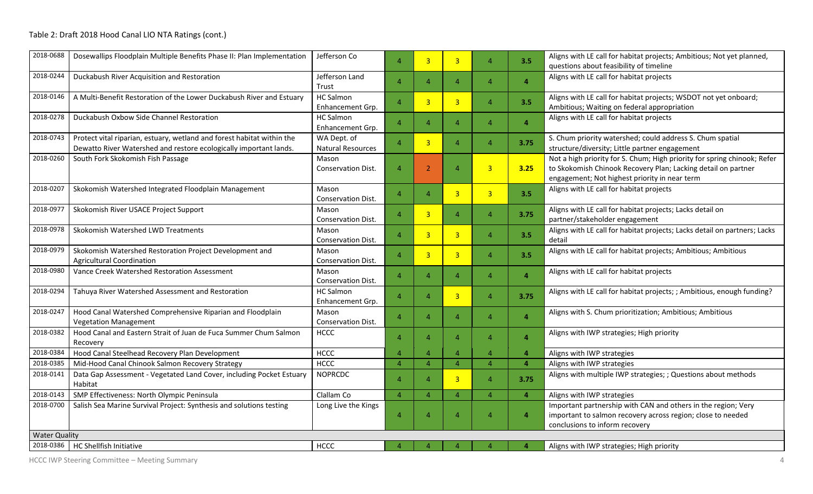| 2018-0688            | Dosewallips Floodplain Multiple Benefits Phase II: Plan Implementation                                                                      | Jefferson Co                            | $\overline{A}$ | $\overline{3}$          | $\overline{3}$ | $\Delta$               | 3.5            | Aligns with LE call for habitat projects; Ambitious; Not yet planned,<br>questions about feasibility of timeline                                                                           |
|----------------------|---------------------------------------------------------------------------------------------------------------------------------------------|-----------------------------------------|----------------|-------------------------|----------------|------------------------|----------------|--------------------------------------------------------------------------------------------------------------------------------------------------------------------------------------------|
| 2018-0244            | Duckabush River Acquisition and Restoration                                                                                                 | Jefferson Land<br>Trust                 | $\overline{4}$ | $\Delta$                | $\overline{4}$ | $\overline{4}$         | $\overline{4}$ | Aligns with LE call for habitat projects                                                                                                                                                   |
| 2018-0146            | A Multi-Benefit Restoration of the Lower Duckabush River and Estuary                                                                        | <b>HC Salmon</b><br>Enhancement Grp.    | $\overline{4}$ | $\overline{3}$          | $\overline{3}$ | $\boldsymbol{\Lambda}$ | 3.5            | Aligns with LE call for habitat projects; WSDOT not yet onboard;<br>Ambitious; Waiting on federal appropriation                                                                            |
| 2018-0278            | Duckabush Oxbow Side Channel Restoration                                                                                                    | <b>HC Salmon</b><br>Enhancement Grp.    | $\overline{A}$ | Δ                       | $\overline{A}$ | $\Delta$               | $\overline{a}$ | Aligns with LE call for habitat projects                                                                                                                                                   |
| 2018-0743            | Protect vital riparian, estuary, wetland and forest habitat within the<br>Dewatto River Watershed and restore ecologically important lands. | WA Dept. of<br><b>Natural Resources</b> | $\overline{A}$ | $\overline{3}$          | $\overline{A}$ | $\Delta$               | 3.75           | S. Chum priority watershed; could address S. Chum spatial<br>structure/diversity; Little partner engagement                                                                                |
| 2018-0260            | South Fork Skokomish Fish Passage                                                                                                           | Mason<br><b>Conservation Dist.</b>      | $\overline{4}$ | $\overline{2}$          | $\overline{4}$ | $\overline{3}$         | 3.25           | Not a high priority for S. Chum; High priority for spring chinook; Refer<br>to Skokomish Chinook Recovery Plan; Lacking detail on partner<br>engagement; Not highest priority in near term |
| 2018-0207            | Skokomish Watershed Integrated Floodplain Management                                                                                        | Mason<br>Conservation Dist.             | $\overline{4}$ | $\overline{4}$          | $\overline{3}$ | $\overline{3}$         | 3.5            | Aligns with LE call for habitat projects                                                                                                                                                   |
| 2018-0977            | Skokomish River USACE Project Support                                                                                                       | Mason<br>Conservation Dist.             | $\overline{4}$ | 3                       | $\overline{4}$ | $\overline{4}$         | 3.75           | Aligns with LE call for habitat projects; Lacks detail on<br>partner/stakeholder engagement                                                                                                |
| 2018-0978            | Skokomish Watershed LWD Treatments                                                                                                          | Mason<br><b>Conservation Dist.</b>      | $\overline{4}$ | $\overline{\mathbf{3}}$ | 3              | $\overline{A}$         | 3.5            | Aligns with LE call for habitat projects; Lacks detail on partners; Lacks<br>detail                                                                                                        |
| 2018-0979            | Skokomish Watershed Restoration Project Development and<br><b>Agricultural Coordination</b>                                                 | Mason<br>Conservation Dist.             | $\overline{4}$ | $\overline{\mathbf{3}}$ | 3              | $\boldsymbol{\Lambda}$ | 3.5            | Aligns with LE call for habitat projects; Ambitious; Ambitious                                                                                                                             |
| 2018-0980            | Vance Creek Watershed Restoration Assessment                                                                                                | Mason<br>Conservation Dist.             | $\overline{4}$ | $\overline{4}$          | $\overline{A}$ | $\boldsymbol{\Lambda}$ | $\overline{4}$ | Aligns with LE call for habitat projects                                                                                                                                                   |
| 2018-0294            | Tahuya River Watershed Assessment and Restoration                                                                                           | <b>HC Salmon</b><br>Enhancement Grp.    | $\overline{4}$ | $\overline{A}$          | $\overline{3}$ | $\boldsymbol{\Lambda}$ | 3.75           | Aligns with LE call for habitat projects; ; Ambitious, enough funding?                                                                                                                     |
| 2018-0247            | Hood Canal Watershed Comprehensive Riparian and Floodplain<br><b>Vegetation Management</b>                                                  | Mason<br>Conservation Dist.             | $\overline{A}$ | 4                       | $\overline{A}$ | $\Delta$               | $\overline{a}$ | Aligns with S. Chum prioritization; Ambitious; Ambitious                                                                                                                                   |
| 2018-0382            | Hood Canal and Eastern Strait of Juan de Fuca Summer Chum Salmon<br>Recovery                                                                | <b>HCCC</b>                             | $\overline{A}$ | 4                       | $\overline{A}$ | $\Delta$               | $\overline{a}$ | Aligns with IWP strategies; High priority                                                                                                                                                  |
| 2018-0384            | Hood Canal Steelhead Recovery Plan Development                                                                                              | <b>HCCC</b>                             | $\overline{A}$ | $\Delta$                | $\overline{4}$ | $\boldsymbol{\Lambda}$ | $\overline{4}$ | Aligns with IWP strategies                                                                                                                                                                 |
| 2018-0385            | Mid-Hood Canal Chinook Salmon Recovery Strategy                                                                                             | <b>HCCC</b>                             | $\Delta$       | $\Delta$                | $\overline{4}$ | $\Delta$               | $\overline{4}$ | Aligns with IWP strategies                                                                                                                                                                 |
| 2018-0141            | Data Gap Assessment - Vegetated Land Cover, including Pocket Estuary<br>Habitat                                                             | <b>NOPRCDC</b>                          | $\overline{4}$ | $\overline{4}$          | $\overline{3}$ | $\overline{A}$         | 3.75           | Aligns with multiple IWP strategies; ; Questions about methods                                                                                                                             |
| 2018-0143            | SMP Effectiveness: North Olympic Peninsula                                                                                                  | Clallam Co                              | $\overline{4}$ | $\overline{A}$          | $\overline{4}$ | $\boldsymbol{\Lambda}$ | $\overline{4}$ | Aligns with IWP strategies                                                                                                                                                                 |
| 2018-0700            | Salish Sea Marine Survival Project: Synthesis and solutions testing                                                                         | Long Live the Kings                     | $\overline{4}$ | 4                       | $\overline{4}$ | 4                      | $\overline{4}$ | Important partnership with CAN and others in the region; Very<br>important to salmon recovery across region; close to needed<br>conclusions to inform recovery                             |
| <b>Water Quality</b> |                                                                                                                                             |                                         |                |                         |                |                        |                |                                                                                                                                                                                            |
|                      | 2018-0386   HC Shellfish Initiative                                                                                                         | <b>HCCC</b>                             | $\overline{4}$ |                         |                |                        |                | Aligns with IWP strategies; High priority                                                                                                                                                  |